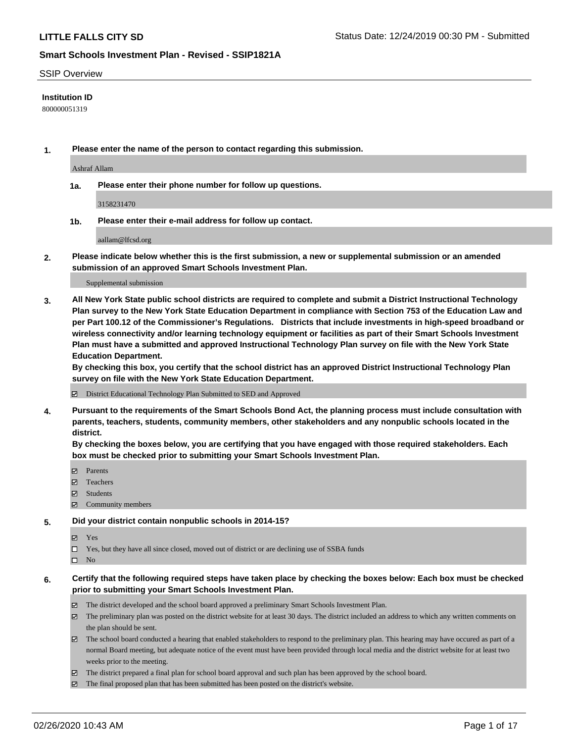### SSIP Overview

### **Institution ID**

800000051319

**1. Please enter the name of the person to contact regarding this submission.**

Ashraf Allam

**1a. Please enter their phone number for follow up questions.**

3158231470

**1b. Please enter their e-mail address for follow up contact.**

aallam@lfcsd.org

**2. Please indicate below whether this is the first submission, a new or supplemental submission or an amended submission of an approved Smart Schools Investment Plan.**

#### Supplemental submission

**3. All New York State public school districts are required to complete and submit a District Instructional Technology Plan survey to the New York State Education Department in compliance with Section 753 of the Education Law and per Part 100.12 of the Commissioner's Regulations. Districts that include investments in high-speed broadband or wireless connectivity and/or learning technology equipment or facilities as part of their Smart Schools Investment Plan must have a submitted and approved Instructional Technology Plan survey on file with the New York State Education Department.** 

**By checking this box, you certify that the school district has an approved District Instructional Technology Plan survey on file with the New York State Education Department.**

District Educational Technology Plan Submitted to SED and Approved

**4. Pursuant to the requirements of the Smart Schools Bond Act, the planning process must include consultation with parents, teachers, students, community members, other stakeholders and any nonpublic schools located in the district.** 

**By checking the boxes below, you are certifying that you have engaged with those required stakeholders. Each box must be checked prior to submitting your Smart Schools Investment Plan.**

- **マ** Parents
- Teachers
- Students
- $\Xi$  Community members

#### **5. Did your district contain nonpublic schools in 2014-15?**

**冈** Yes

Yes, but they have all since closed, moved out of district or are declining use of SSBA funds

 $\square$  No

- **6. Certify that the following required steps have taken place by checking the boxes below: Each box must be checked prior to submitting your Smart Schools Investment Plan.**
	- The district developed and the school board approved a preliminary Smart Schools Investment Plan.
	- $\boxtimes$  The preliminary plan was posted on the district website for at least 30 days. The district included an address to which any written comments on the plan should be sent.
	- $\boxtimes$  The school board conducted a hearing that enabled stakeholders to respond to the preliminary plan. This hearing may have occured as part of a normal Board meeting, but adequate notice of the event must have been provided through local media and the district website for at least two weeks prior to the meeting.
	- The district prepared a final plan for school board approval and such plan has been approved by the school board.
	- $\boxtimes$  The final proposed plan that has been submitted has been posted on the district's website.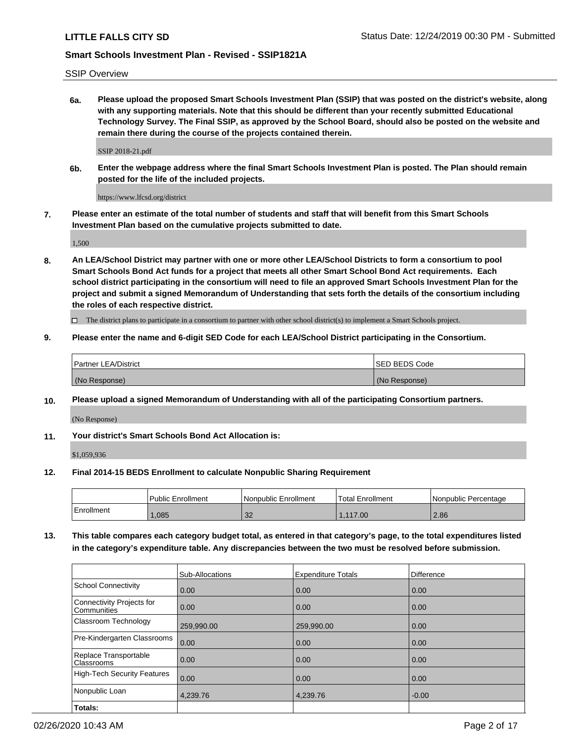SSIP Overview

**6a. Please upload the proposed Smart Schools Investment Plan (SSIP) that was posted on the district's website, along with any supporting materials. Note that this should be different than your recently submitted Educational Technology Survey. The Final SSIP, as approved by the School Board, should also be posted on the website and remain there during the course of the projects contained therein.**

SSIP 2018-21.pdf

**6b. Enter the webpage address where the final Smart Schools Investment Plan is posted. The Plan should remain posted for the life of the included projects.**

https://www.lfcsd.org/district

**7. Please enter an estimate of the total number of students and staff that will benefit from this Smart Schools Investment Plan based on the cumulative projects submitted to date.**

1,500

**8. An LEA/School District may partner with one or more other LEA/School Districts to form a consortium to pool Smart Schools Bond Act funds for a project that meets all other Smart School Bond Act requirements. Each school district participating in the consortium will need to file an approved Smart Schools Investment Plan for the project and submit a signed Memorandum of Understanding that sets forth the details of the consortium including the roles of each respective district.**

 $\Box$  The district plans to participate in a consortium to partner with other school district(s) to implement a Smart Schools project.

### **9. Please enter the name and 6-digit SED Code for each LEA/School District participating in the Consortium.**

| <b>Partner LEA/District</b> | <b>ISED BEDS Code</b> |
|-----------------------------|-----------------------|
| (No Response)               | (No Response)         |

#### **10. Please upload a signed Memorandum of Understanding with all of the participating Consortium partners.**

(No Response)

#### **11. Your district's Smart Schools Bond Act Allocation is:**

\$1,059,936

#### **12. Final 2014-15 BEDS Enrollment to calculate Nonpublic Sharing Requirement**

|            | Public Enrollment | Nonpublic Enrollment | Total Enrollment | l Nonpublic Percentage |
|------------|-------------------|----------------------|------------------|------------------------|
| Enrollment | ,085              | ാറ<br>ےت             | 117.00           | 2.86                   |

**13. This table compares each category budget total, as entered in that category's page, to the total expenditures listed in the category's expenditure table. Any discrepancies between the two must be resolved before submission.**

|                                          | Sub-Allocations | <b>Expenditure Totals</b> | Difference |
|------------------------------------------|-----------------|---------------------------|------------|
| <b>School Connectivity</b>               | 0.00            | 0.00                      | 0.00       |
| Connectivity Projects for<br>Communities | 0.00            | 0.00                      | 0.00       |
| Classroom Technology                     | 259,990.00      | 259,990.00                | 0.00       |
| Pre-Kindergarten Classrooms              | 0.00            | 0.00                      | 0.00       |
| Replace Transportable<br>Classrooms      | 0.00            | 0.00                      | 0.00       |
| <b>High-Tech Security Features</b>       | 0.00            | 0.00                      | 0.00       |
| Nonpublic Loan                           | 4,239.76        | 4,239.76                  | $-0.00$    |
| Totals:                                  |                 |                           |            |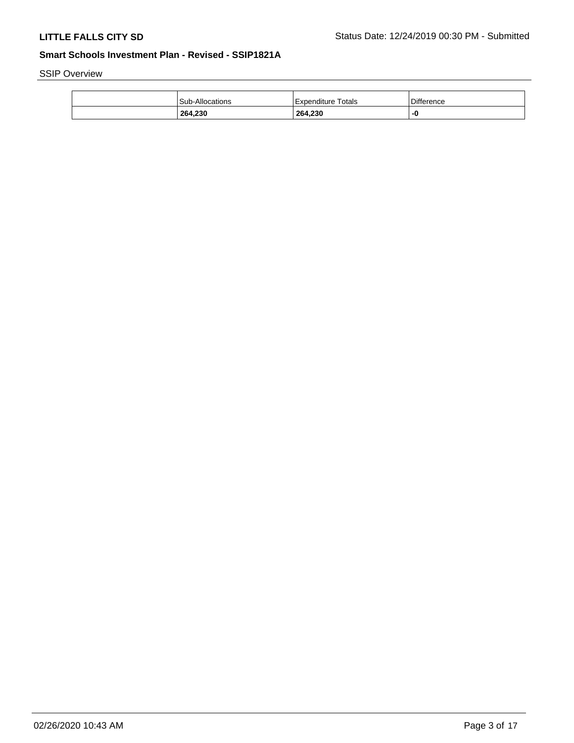SSIP Overview

| 264,230         | 264,230              | -0                |
|-----------------|----------------------|-------------------|
| Sub-Allocations | l Expenditure Totals | <b>Difference</b> |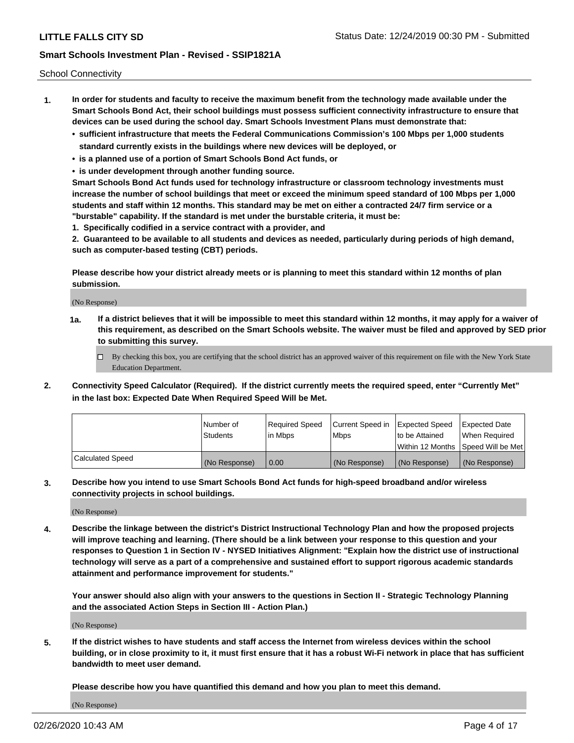School Connectivity

- **1. In order for students and faculty to receive the maximum benefit from the technology made available under the Smart Schools Bond Act, their school buildings must possess sufficient connectivity infrastructure to ensure that devices can be used during the school day. Smart Schools Investment Plans must demonstrate that:**
	- **• sufficient infrastructure that meets the Federal Communications Commission's 100 Mbps per 1,000 students standard currently exists in the buildings where new devices will be deployed, or**
	- **• is a planned use of a portion of Smart Schools Bond Act funds, or**
	- **• is under development through another funding source.**

**Smart Schools Bond Act funds used for technology infrastructure or classroom technology investments must increase the number of school buildings that meet or exceed the minimum speed standard of 100 Mbps per 1,000 students and staff within 12 months. This standard may be met on either a contracted 24/7 firm service or a "burstable" capability. If the standard is met under the burstable criteria, it must be:**

**1. Specifically codified in a service contract with a provider, and**

**2. Guaranteed to be available to all students and devices as needed, particularly during periods of high demand, such as computer-based testing (CBT) periods.**

**Please describe how your district already meets or is planning to meet this standard within 12 months of plan submission.**

(No Response)

**1a. If a district believes that it will be impossible to meet this standard within 12 months, it may apply for a waiver of this requirement, as described on the Smart Schools website. The waiver must be filed and approved by SED prior to submitting this survey.**

 $\Box$  By checking this box, you are certifying that the school district has an approved waiver of this requirement on file with the New York State Education Department.

**2. Connectivity Speed Calculator (Required). If the district currently meets the required speed, enter "Currently Met" in the last box: Expected Date When Required Speed Will be Met.**

|                  | l Number of     | Required Speed | Current Speed in | Expected Speed  | <b>Expected Date</b>                    |
|------------------|-----------------|----------------|------------------|-----------------|-----------------------------------------|
|                  | <b>Students</b> | In Mbps        | l Mbps           | Ito be Attained | When Required                           |
|                  |                 |                |                  |                 | l Within 12 Months ISpeed Will be Met l |
| Calculated Speed | (No Response)   | 0.00           | (No Response)    | (No Response)   | (No Response)                           |

**3. Describe how you intend to use Smart Schools Bond Act funds for high-speed broadband and/or wireless connectivity projects in school buildings.**

(No Response)

**4. Describe the linkage between the district's District Instructional Technology Plan and how the proposed projects will improve teaching and learning. (There should be a link between your response to this question and your responses to Question 1 in Section IV - NYSED Initiatives Alignment: "Explain how the district use of instructional technology will serve as a part of a comprehensive and sustained effort to support rigorous academic standards attainment and performance improvement for students."** 

**Your answer should also align with your answers to the questions in Section II - Strategic Technology Planning and the associated Action Steps in Section III - Action Plan.)**

(No Response)

**5. If the district wishes to have students and staff access the Internet from wireless devices within the school building, or in close proximity to it, it must first ensure that it has a robust Wi-Fi network in place that has sufficient bandwidth to meet user demand.**

**Please describe how you have quantified this demand and how you plan to meet this demand.**

(No Response)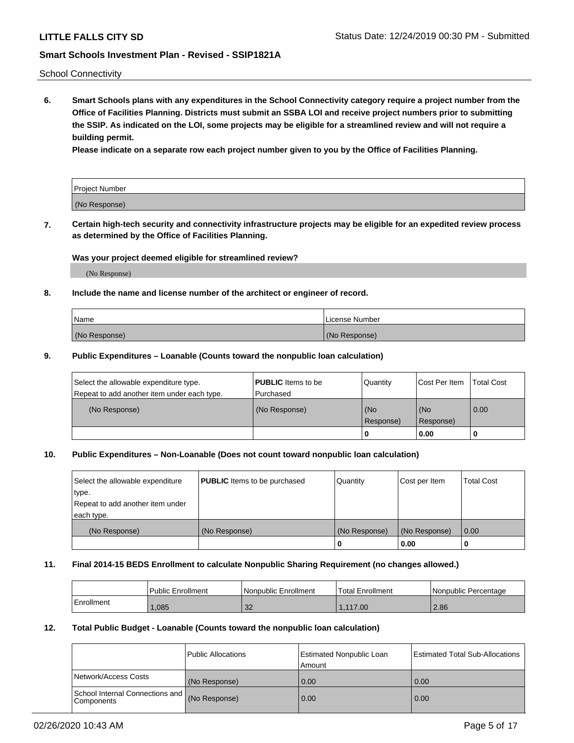School Connectivity

**6. Smart Schools plans with any expenditures in the School Connectivity category require a project number from the Office of Facilities Planning. Districts must submit an SSBA LOI and receive project numbers prior to submitting the SSIP. As indicated on the LOI, some projects may be eligible for a streamlined review and will not require a building permit.**

**Please indicate on a separate row each project number given to you by the Office of Facilities Planning.**

| Project Number |  |
|----------------|--|
| (No Response)  |  |

**7. Certain high-tech security and connectivity infrastructure projects may be eligible for an expedited review process as determined by the Office of Facilities Planning.**

### **Was your project deemed eligible for streamlined review?**

(No Response)

### **8. Include the name and license number of the architect or engineer of record.**

| Name          | License Number |
|---------------|----------------|
| (No Response) | (No Response)  |

### **9. Public Expenditures – Loanable (Counts toward the nonpublic loan calculation)**

| Select the allowable expenditure type.<br>Repeat to add another item under each type. | <b>PUBLIC</b> Items to be<br>l Purchased | Quantity           | Cost Per Item    | <b>Total Cost</b> |
|---------------------------------------------------------------------------------------|------------------------------------------|--------------------|------------------|-------------------|
| (No Response)                                                                         | (No Response)                            | l (No<br>Response) | (No<br>Response) | $\overline{0.00}$ |
|                                                                                       |                                          | 0                  | 0.00             |                   |

## **10. Public Expenditures – Non-Loanable (Does not count toward nonpublic loan calculation)**

| Select the allowable expenditure<br>type.      | <b>PUBLIC</b> Items to be purchased | Quantity      | Cost per Item | <b>Total Cost</b> |
|------------------------------------------------|-------------------------------------|---------------|---------------|-------------------|
| Repeat to add another item under<br>each type. |                                     |               |               |                   |
| (No Response)                                  | (No Response)                       | (No Response) | (No Response) | 0.00              |
|                                                |                                     |               | 0.00          |                   |

#### **11. Final 2014-15 BEDS Enrollment to calculate Nonpublic Sharing Requirement (no changes allowed.)**

|            | Public Enrollment | l Nonpublic Enrollment | <b>Total Enrollment</b> | Nonpublic Percentage |
|------------|-------------------|------------------------|-------------------------|----------------------|
| Enrollment | ,085              | າາ<br>ےت               | 1.117.00                | 2.86                 |

#### **12. Total Public Budget - Loanable (Counts toward the nonpublic loan calculation)**

|                                                      | Public Allocations | <b>Estimated Nonpublic Loan</b><br>Amount | Estimated Total Sub-Allocations |
|------------------------------------------------------|--------------------|-------------------------------------------|---------------------------------|
| Network/Access Costs                                 | (No Response)      | 0.00                                      | 0.00                            |
| School Internal Connections and<br><b>Components</b> | (No Response)      | 0.00                                      | 0.00                            |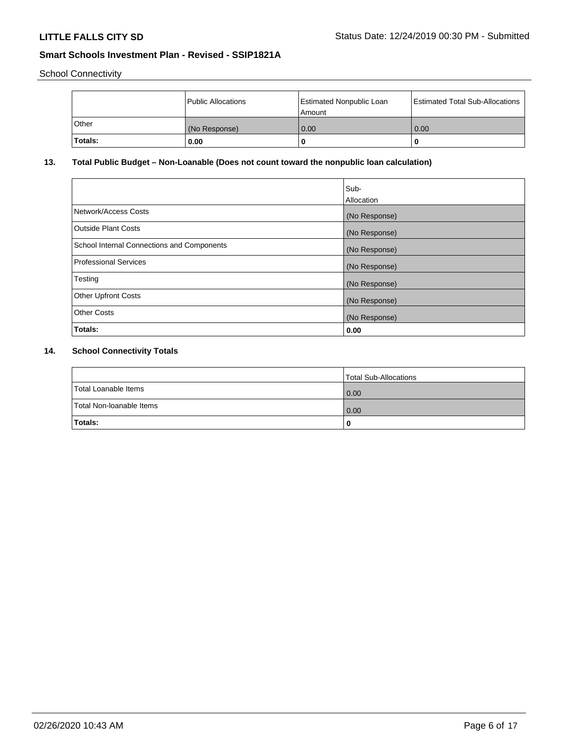School Connectivity

|              | Public Allocations | <b>Estimated Nonpublic Loan</b><br>Amount | <b>Estimated Total Sub-Allocations</b> |
|--------------|--------------------|-------------------------------------------|----------------------------------------|
| <b>Other</b> | (No Response)      | 0.00                                      | 0.00                                   |
| Totals:      | 0.00               |                                           | 0                                      |

# **13. Total Public Budget – Non-Loanable (Does not count toward the nonpublic loan calculation)**

|                                                   | Sub-<br>Allocation |
|---------------------------------------------------|--------------------|
| Network/Access Costs                              | (No Response)      |
| Outside Plant Costs                               | (No Response)      |
| <b>School Internal Connections and Components</b> | (No Response)      |
| <b>Professional Services</b>                      | (No Response)      |
| Testing                                           | (No Response)      |
| <b>Other Upfront Costs</b>                        | (No Response)      |
| <b>Other Costs</b>                                | (No Response)      |
| Totals:                                           | 0.00               |

# **14. School Connectivity Totals**

|                          | Total Sub-Allocations |
|--------------------------|-----------------------|
| Total Loanable Items     | 0.00                  |
| Total Non-Ioanable Items | 0.00                  |
| Totals:                  | 0                     |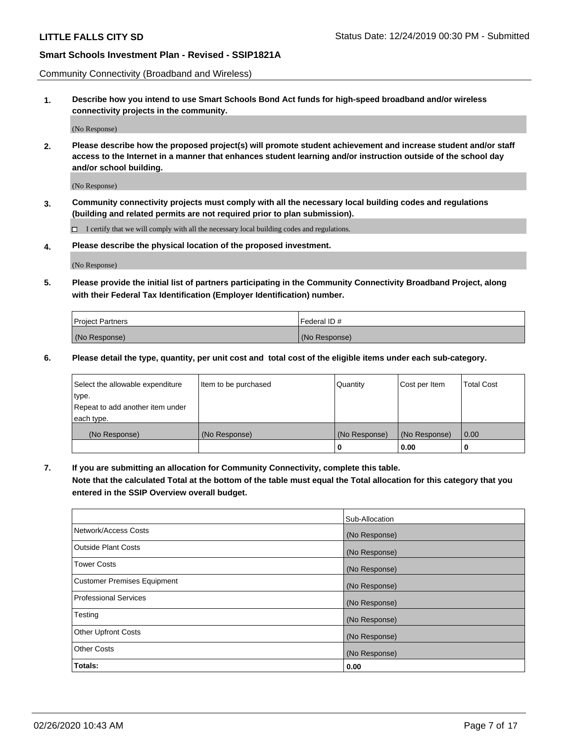Community Connectivity (Broadband and Wireless)

**1. Describe how you intend to use Smart Schools Bond Act funds for high-speed broadband and/or wireless connectivity projects in the community.**

(No Response)

**2. Please describe how the proposed project(s) will promote student achievement and increase student and/or staff access to the Internet in a manner that enhances student learning and/or instruction outside of the school day and/or school building.**

(No Response)

**3. Community connectivity projects must comply with all the necessary local building codes and regulations (building and related permits are not required prior to plan submission).**

 $\Box$  I certify that we will comply with all the necessary local building codes and regulations.

**4. Please describe the physical location of the proposed investment.**

(No Response)

**5. Please provide the initial list of partners participating in the Community Connectivity Broadband Project, along with their Federal Tax Identification (Employer Identification) number.**

| <b>Project Partners</b> | l Federal ID # |
|-------------------------|----------------|
| (No Response)           | (No Response)  |

**6. Please detail the type, quantity, per unit cost and total cost of the eligible items under each sub-category.**

| Select the allowable expenditure | Item to be purchased | Quantity      | Cost per Item | <b>Total Cost</b> |
|----------------------------------|----------------------|---------------|---------------|-------------------|
| type.                            |                      |               |               |                   |
| Repeat to add another item under |                      |               |               |                   |
| each type.                       |                      |               |               |                   |
| (No Response)                    | (No Response)        | (No Response) | (No Response) | 0.00              |
|                                  |                      | o             | 0.00          |                   |

**7. If you are submitting an allocation for Community Connectivity, complete this table.**

**Note that the calculated Total at the bottom of the table must equal the Total allocation for this category that you entered in the SSIP Overview overall budget.**

|                                    | Sub-Allocation |
|------------------------------------|----------------|
| Network/Access Costs               | (No Response)  |
| Outside Plant Costs                | (No Response)  |
| <b>Tower Costs</b>                 | (No Response)  |
| <b>Customer Premises Equipment</b> | (No Response)  |
| <b>Professional Services</b>       | (No Response)  |
| Testing                            | (No Response)  |
| <b>Other Upfront Costs</b>         | (No Response)  |
| <b>Other Costs</b>                 | (No Response)  |
| Totals:                            | 0.00           |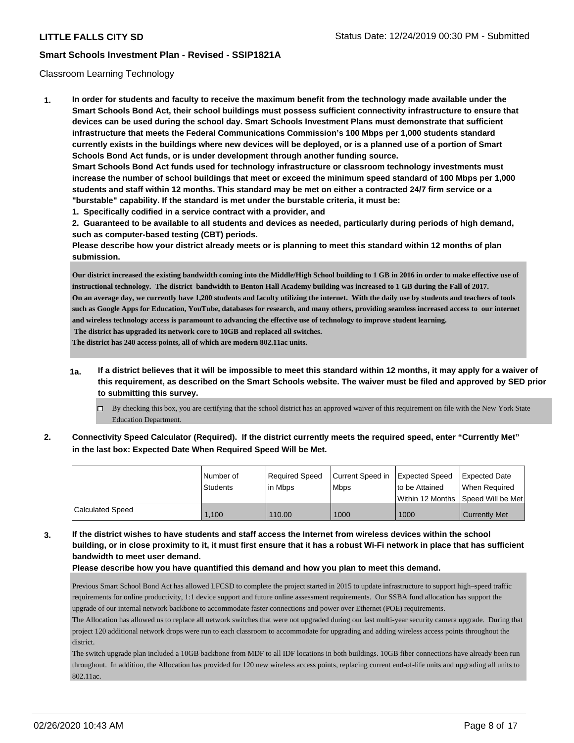### Classroom Learning Technology

**1. In order for students and faculty to receive the maximum benefit from the technology made available under the Smart Schools Bond Act, their school buildings must possess sufficient connectivity infrastructure to ensure that devices can be used during the school day. Smart Schools Investment Plans must demonstrate that sufficient infrastructure that meets the Federal Communications Commission's 100 Mbps per 1,000 students standard currently exists in the buildings where new devices will be deployed, or is a planned use of a portion of Smart Schools Bond Act funds, or is under development through another funding source. Smart Schools Bond Act funds used for technology infrastructure or classroom technology investments must increase the number of school buildings that meet or exceed the minimum speed standard of 100 Mbps per 1,000 students and staff within 12 months. This standard may be met on either a contracted 24/7 firm service or a "burstable" capability. If the standard is met under the burstable criteria, it must be:**

**1. Specifically codified in a service contract with a provider, and**

**2. Guaranteed to be available to all students and devices as needed, particularly during periods of high demand, such as computer-based testing (CBT) periods.**

**Please describe how your district already meets or is planning to meet this standard within 12 months of plan submission.**

**Our district increased the existing bandwidth coming into the Middle/High School building to 1 GB in 2016 in order to make effective use of instructional technology. The district bandwidth to Benton Hall Academy building was increased to 1 GB during the Fall of 2017. On an average day, we currently have 1,200 students and faculty utilizing the internet. With the daily use by students and teachers of tools such as Google Apps for Education, YouTube, databases for research, and many others, providing seamless increased access to our internet and wireless technology access is paramount to advancing the effective use of technology to improve student learning. The district has upgraded its network core to 10GB and replaced all switches.**

**The district has 240 access points, all of which are modern 802.11ac units.**

- **1a. If a district believes that it will be impossible to meet this standard within 12 months, it may apply for a waiver of this requirement, as described on the Smart Schools website. The waiver must be filed and approved by SED prior to submitting this survey.**
	- By checking this box, you are certifying that the school district has an approved waiver of this requirement on file with the New York State Education Department.
- **2. Connectivity Speed Calculator (Required). If the district currently meets the required speed, enter "Currently Met" in the last box: Expected Date When Required Speed Will be Met.**

|                  | l Number of | Required Speed | Current Speed in | <b>Expected Speed</b> | <b>Expected Date</b>                |
|------------------|-------------|----------------|------------------|-----------------------|-------------------------------------|
|                  | Students    | lin Mbps       | <b>Mbps</b>      | to be Attained        | When Reauired                       |
|                  |             |                |                  |                       | Within 12 Months 1Speed Will be Met |
| Calculated Speed | 1.100       | 110.00         | 1000             | 1000                  | <b>Currently Met</b>                |

**3. If the district wishes to have students and staff access the Internet from wireless devices within the school building, or in close proximity to it, it must first ensure that it has a robust Wi-Fi network in place that has sufficient bandwidth to meet user demand.**

**Please describe how you have quantified this demand and how you plan to meet this demand.**

Previous Smart School Bond Act has allowed LFCSD to complete the project started in 2015 to update infrastructure to support high–speed traffic requirements for online productivity, 1:1 device support and future online assessment requirements. Our SSBA fund allocation has support the upgrade of our internal network backbone to accommodate faster connections and power over Ethernet (POE) requirements.

The Allocation has allowed us to replace all network switches that were not upgraded during our last multi-year security camera upgrade. During that project 120 additional network drops were run to each classroom to accommodate for upgrading and adding wireless access points throughout the district.

The switch upgrade plan included a 10GB backbone from MDF to all IDF locations in both buildings. 10GB fiber connections have already been run throughout. In addition, the Allocation has provided for 120 new wireless access points, replacing current end-of-life units and upgrading all units to 802.11ac.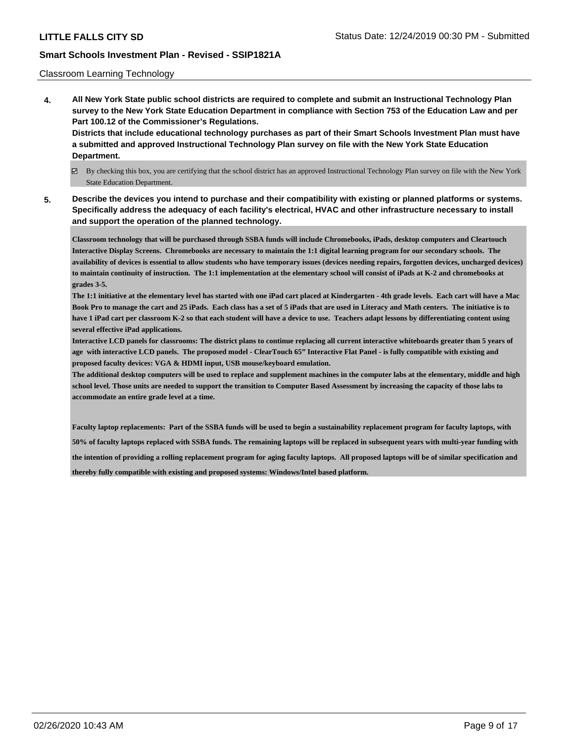### Classroom Learning Technology

**4. All New York State public school districts are required to complete and submit an Instructional Technology Plan survey to the New York State Education Department in compliance with Section 753 of the Education Law and per Part 100.12 of the Commissioner's Regulations. Districts that include educational technology purchases as part of their Smart Schools Investment Plan must have**

**a submitted and approved Instructional Technology Plan survey on file with the New York State Education Department.**

- By checking this box, you are certifying that the school district has an approved Instructional Technology Plan survey on file with the New York State Education Department.
- **5. Describe the devices you intend to purchase and their compatibility with existing or planned platforms or systems. Specifically address the adequacy of each facility's electrical, HVAC and other infrastructure necessary to install and support the operation of the planned technology.**

**Classroom technology that will be purchased through SSBA funds will include Chromebooks, iPads, desktop computers and Cleartouch Interactive Display Screens. Chromebooks are necessary to maintain the 1:1 digital learning program for our secondary schools. The availability of devices is essential to allow students who have temporary issues (devices needing repairs, forgotten devices, uncharged devices) to maintain continuity of instruction. The 1:1 implementation at the elementary school will consist of iPads at K-2 and chromebooks at grades 3-5.**

**The 1:1 initiative at the elementary level has started with one iPad cart placed at Kindergarten - 4th grade levels. Each cart will have a Mac Book Pro to manage the cart and 25 iPads. Each class has a set of 5 iPads that are used in Literacy and Math centers. The initiative is to have 1 iPad cart per classroom K-2 so that each student will have a device to use. Teachers adapt lessons by differentiating content using several effective iPad applications.**

**Interactive LCD panels for classrooms: The district plans to continue replacing all current interactive whiteboards greater than 5 years of age with interactive LCD panels. The proposed model - ClearTouch 65" Interactive Flat Panel - is fully compatible with existing and proposed faculty devices: VGA & HDMI input, USB mouse/keyboard emulation.**

**The additional desktop computers will be used to replace and supplement machines in the computer labs at the elementary, middle and high school level. Those units are needed to support the transition to Computer Based Assessment by increasing the capacity of those labs to accommodate an entire grade level at a time.**

**Faculty laptop replacements: Part of the SSBA funds will be used to begin a sustainability replacement program for faculty laptops, with 50% of faculty laptops replaced with SSBA funds. The remaining laptops will be replaced in subsequent years with multi-year funding with the intention of providing a rolling replacement program for aging faculty laptops. All proposed laptops will be of similar specification and thereby fully compatible with existing and proposed systems: Windows/Intel based platform.**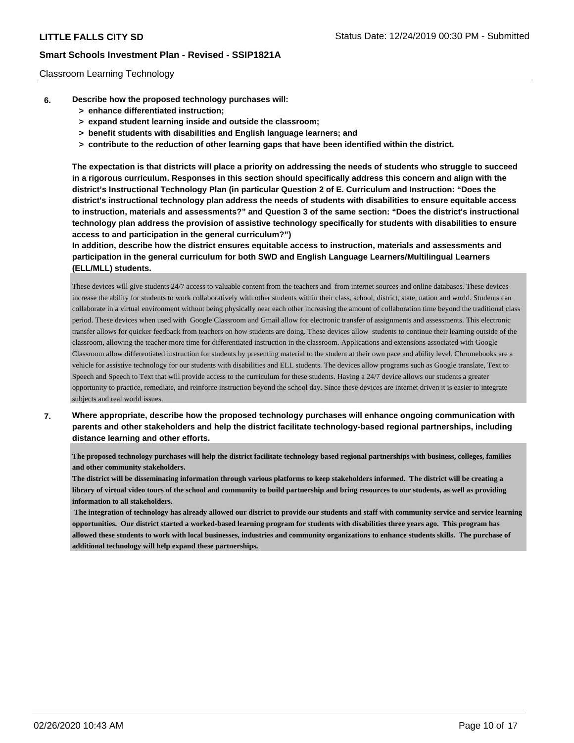### Classroom Learning Technology

- **6. Describe how the proposed technology purchases will:**
	- **> enhance differentiated instruction;**
	- **> expand student learning inside and outside the classroom;**
	- **> benefit students with disabilities and English language learners; and**
	- **> contribute to the reduction of other learning gaps that have been identified within the district.**

**The expectation is that districts will place a priority on addressing the needs of students who struggle to succeed in a rigorous curriculum. Responses in this section should specifically address this concern and align with the district's Instructional Technology Plan (in particular Question 2 of E. Curriculum and Instruction: "Does the district's instructional technology plan address the needs of students with disabilities to ensure equitable access to instruction, materials and assessments?" and Question 3 of the same section: "Does the district's instructional technology plan address the provision of assistive technology specifically for students with disabilities to ensure access to and participation in the general curriculum?")**

**In addition, describe how the district ensures equitable access to instruction, materials and assessments and participation in the general curriculum for both SWD and English Language Learners/Multilingual Learners (ELL/MLL) students.**

These devices will give students 24/7 access to valuable content from the teachers and from internet sources and online databases. These devices increase the ability for students to work collaboratively with other students within their class, school, district, state, nation and world. Students can collaborate in a virtual environment without being physically near each other increasing the amount of collaboration time beyond the traditional class period. These devices when used with Google Classroom and Gmail allow for electronic transfer of assignments and assessments. This electronic transfer allows for quicker feedback from teachers on how students are doing. These devices allow students to continue their learning outside of the classroom, allowing the teacher more time for differentiated instruction in the classroom. Applications and extensions associated with Google Classroom allow differentiated instruction for students by presenting material to the student at their own pace and ability level. Chromebooks are a vehicle for assistive technology for our students with disabilities and ELL students. The devices allow programs such as Google translate, Text to Speech and Speech to Text that will provide access to the curriculum for these students. Having a 24/7 device allows our students a greater opportunity to practice, remediate, and reinforce instruction beyond the school day. Since these devices are internet driven it is easier to integrate subjects and real world issues.

**7. Where appropriate, describe how the proposed technology purchases will enhance ongoing communication with parents and other stakeholders and help the district facilitate technology-based regional partnerships, including distance learning and other efforts.**

**The proposed technology purchases will help the district facilitate technology based regional partnerships with business, colleges, families and other community stakeholders.** 

**The district will be disseminating information through various platforms to keep stakeholders informed. The district will be creating a library of virtual video tours of the school and community to build partnership and bring resources to our students, as well as providing information to all stakeholders.** 

**The integration of technology has already allowed our district to provide our students and staff with community service and service learning opportunities. Our district started a worked-based learning program for students with disabilities three years ago. This program has allowed these students to work with local businesses, industries and community organizations to enhance students skills. The purchase of additional technology will help expand these partnerships.**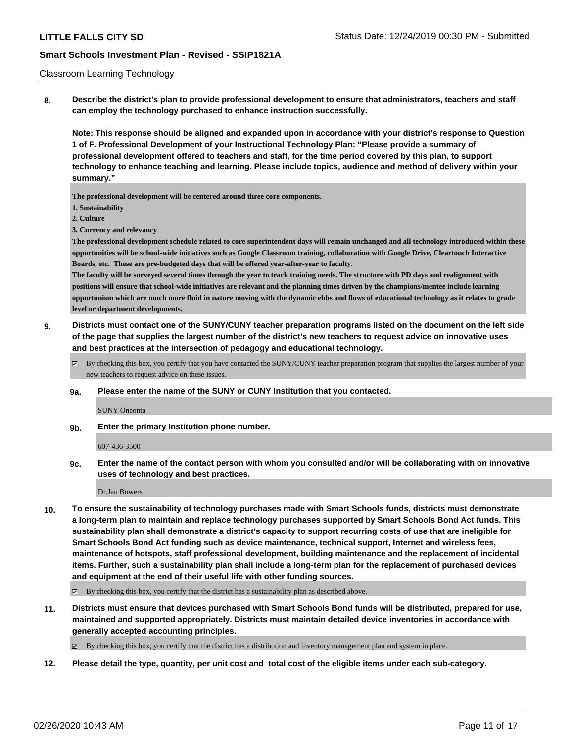#### Classroom Learning Technology

**8. Describe the district's plan to provide professional development to ensure that administrators, teachers and staff can employ the technology purchased to enhance instruction successfully.**

**Note: This response should be aligned and expanded upon in accordance with your district's response to Question 1 of F. Professional Development of your Instructional Technology Plan: "Please provide a summary of professional development offered to teachers and staff, for the time period covered by this plan, to support technology to enhance teaching and learning. Please include topics, audience and method of delivery within your summary."**

**The professional development will be centered around three core components.**

- **1. Sustainability**
- **2. Culture**
- **3. Currency and relevancy**

**The professional development schedule related to core superintendent days will remain unchanged and all technology introduced within these opportunities will be school-wide initiatives such as Google Classroom training, collaboration with Google Drive, Cleartouch Interactive Boards, etc. These are pre-budgeted days that will be offered year-after-year to faculty.**

**The faculty will be surveyed several times through the year to track training needs. The structure with PD days and realignment with positions will ensure that school-wide initiatives are relevant and the planning times driven by the champions/mentee include learning opportunism which are much more fluid in nature moving with the dynamic ebbs and flows of educational technology as it relates to grade level or department developments.**

- **9. Districts must contact one of the SUNY/CUNY teacher preparation programs listed on the document on the left side of the page that supplies the largest number of the district's new teachers to request advice on innovative uses and best practices at the intersection of pedagogy and educational technology.**
	- $\boxtimes$  By checking this box, you certify that you have contacted the SUNY/CUNY teacher preparation program that supplies the largest number of your new teachers to request advice on these issues.
	- **9a. Please enter the name of the SUNY or CUNY Institution that you contacted.**

SUNY Oneonta

**9b. Enter the primary Institution phone number.**

607-436-3500

**9c. Enter the name of the contact person with whom you consulted and/or will be collaborating with on innovative uses of technology and best practices.**

Dr.Jan Bowers

**10. To ensure the sustainability of technology purchases made with Smart Schools funds, districts must demonstrate a long-term plan to maintain and replace technology purchases supported by Smart Schools Bond Act funds. This sustainability plan shall demonstrate a district's capacity to support recurring costs of use that are ineligible for Smart Schools Bond Act funding such as device maintenance, technical support, Internet and wireless fees, maintenance of hotspots, staff professional development, building maintenance and the replacement of incidental items. Further, such a sustainability plan shall include a long-term plan for the replacement of purchased devices and equipment at the end of their useful life with other funding sources.**

 $\boxtimes$  By checking this box, you certify that the district has a sustainability plan as described above.

**11. Districts must ensure that devices purchased with Smart Schools Bond funds will be distributed, prepared for use, maintained and supported appropriately. Districts must maintain detailed device inventories in accordance with generally accepted accounting principles.**

By checking this box, you certify that the district has a distribution and inventory management plan and system in place.

**12. Please detail the type, quantity, per unit cost and total cost of the eligible items under each sub-category.**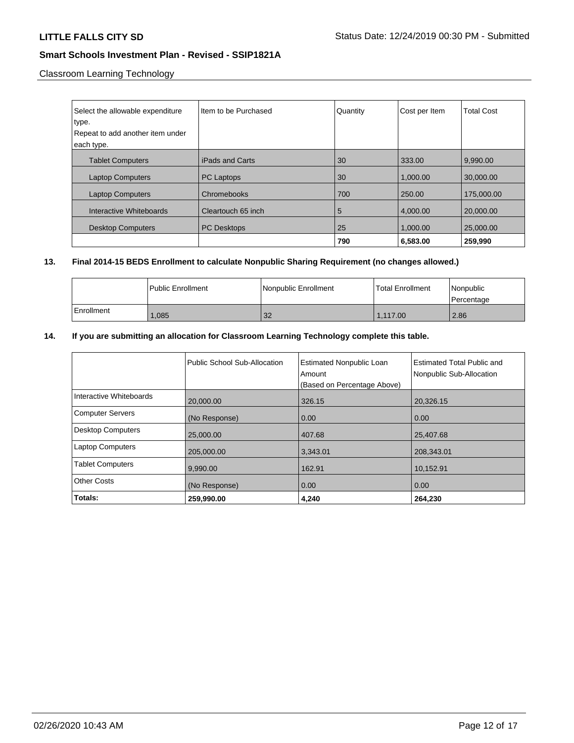Classroom Learning Technology

| Select the allowable expenditure<br>type. | Item to be Purchased | Quantity | Cost per Item | <b>Total Cost</b> |
|-------------------------------------------|----------------------|----------|---------------|-------------------|
|                                           |                      |          |               |                   |
| Repeat to add another item under          |                      |          |               |                   |
| each type.                                |                      |          |               |                   |
|                                           |                      |          |               |                   |
| <b>Tablet Computers</b>                   | iPads and Carts      | 30       | 333.00        | 9,990.00          |
| <b>Laptop Computers</b>                   | <b>PC Laptops</b>    | 30       | 1,000.00      | 30,000.00         |
| <b>Laptop Computers</b>                   | Chromebooks          | 700      | 250.00        | 175,000.00        |
| Interactive Whiteboards                   | Cleartouch 65 inch   | 5        | 4,000.00      | 20,000.00         |
| <b>Desktop Computers</b>                  | <b>PC Desktops</b>   | 25       | 1.000.00      | 25,000.00         |
|                                           |                      | 790      | 6,583.00      | 259,990           |

# **13. Final 2014-15 BEDS Enrollment to calculate Nonpublic Sharing Requirement (no changes allowed.)**

|            | l Public Enrollment | Nonpublic Enrollment | l Total Enrollment | l Nonpublic<br>l Percentage |
|------------|---------------------|----------------------|--------------------|-----------------------------|
| Enrollment | .085                | 32                   | 1.117.00           | 2.86                        |

# **14. If you are submitting an allocation for Classroom Learning Technology complete this table.**

|                          | Public School Sub-Allocation | <b>Estimated Nonpublic Loan</b><br>Amount<br>(Based on Percentage Above) | Estimated Total Public and<br>Nonpublic Sub-Allocation |
|--------------------------|------------------------------|--------------------------------------------------------------------------|--------------------------------------------------------|
| Interactive Whiteboards  | 20,000.00                    | 326.15                                                                   | 20,326.15                                              |
| <b>Computer Servers</b>  | (No Response)                | 0.00                                                                     | 0.00                                                   |
| <b>Desktop Computers</b> | 25,000.00                    | 407.68                                                                   | 25,407.68                                              |
| <b>Laptop Computers</b>  | 205,000.00                   | 3,343.01                                                                 | 208,343.01                                             |
| <b>Tablet Computers</b>  | 9,990.00                     | 162.91                                                                   | 10,152.91                                              |
| <b>Other Costs</b>       | (No Response)                | 0.00                                                                     | 0.00                                                   |
| Totals:                  | 259,990.00                   | 4.240                                                                    | 264,230                                                |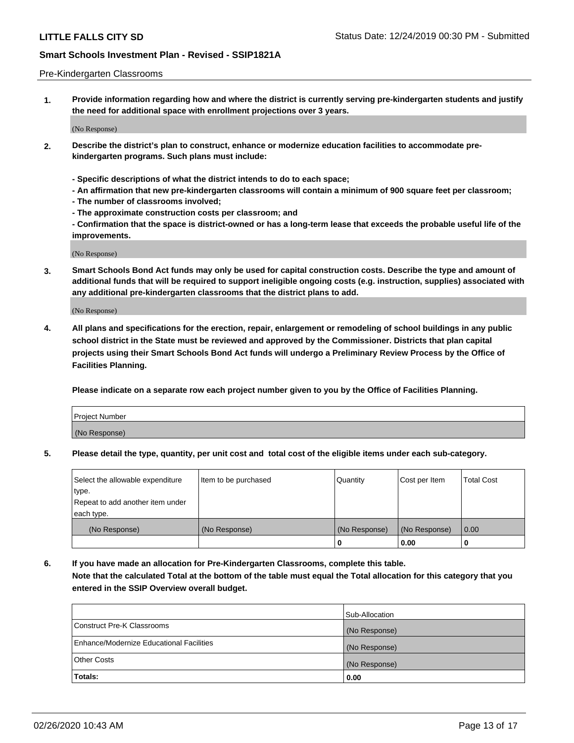### Pre-Kindergarten Classrooms

**1. Provide information regarding how and where the district is currently serving pre-kindergarten students and justify the need for additional space with enrollment projections over 3 years.**

(No Response)

- **2. Describe the district's plan to construct, enhance or modernize education facilities to accommodate prekindergarten programs. Such plans must include:**
	- **Specific descriptions of what the district intends to do to each space;**
	- **An affirmation that new pre-kindergarten classrooms will contain a minimum of 900 square feet per classroom;**
	- **The number of classrooms involved;**
	- **The approximate construction costs per classroom; and**
	- **Confirmation that the space is district-owned or has a long-term lease that exceeds the probable useful life of the improvements.**

(No Response)

**3. Smart Schools Bond Act funds may only be used for capital construction costs. Describe the type and amount of additional funds that will be required to support ineligible ongoing costs (e.g. instruction, supplies) associated with any additional pre-kindergarten classrooms that the district plans to add.**

(No Response)

**4. All plans and specifications for the erection, repair, enlargement or remodeling of school buildings in any public school district in the State must be reviewed and approved by the Commissioner. Districts that plan capital projects using their Smart Schools Bond Act funds will undergo a Preliminary Review Process by the Office of Facilities Planning.**

**Please indicate on a separate row each project number given to you by the Office of Facilities Planning.**

| Project Number |  |
|----------------|--|
| (No Response)  |  |
|                |  |

**5. Please detail the type, quantity, per unit cost and total cost of the eligible items under each sub-category.**

| Select the allowable expenditure | Item to be purchased | Quantity      | Cost per Item | <b>Total Cost</b> |
|----------------------------------|----------------------|---------------|---------------|-------------------|
| type.                            |                      |               |               |                   |
| Repeat to add another item under |                      |               |               |                   |
| each type.                       |                      |               |               |                   |
| (No Response)                    | (No Response)        | (No Response) | (No Response) | 0.00              |
|                                  |                      | U             | 0.00          |                   |

**6. If you have made an allocation for Pre-Kindergarten Classrooms, complete this table. Note that the calculated Total at the bottom of the table must equal the Total allocation for this category that you entered in the SSIP Overview overall budget.**

|                                          | Sub-Allocation |
|------------------------------------------|----------------|
| Construct Pre-K Classrooms               | (No Response)  |
| Enhance/Modernize Educational Facilities | (No Response)  |
| <b>Other Costs</b>                       | (No Response)  |
| Totals:                                  | 0.00           |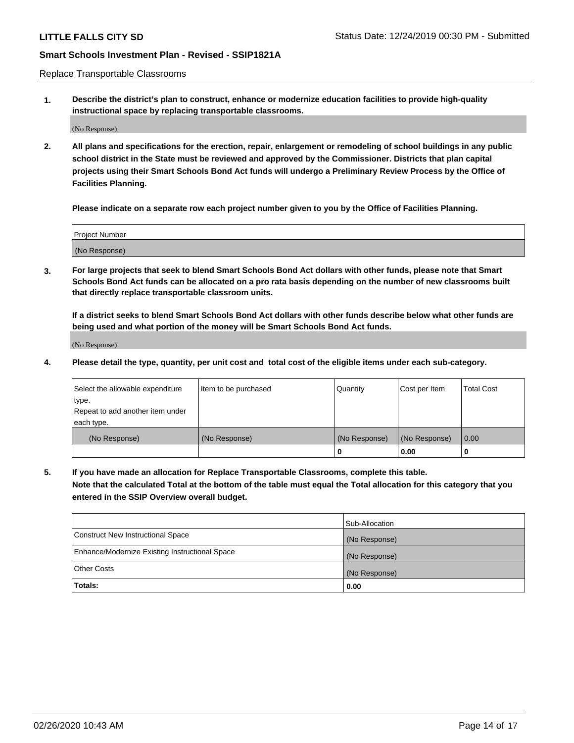Replace Transportable Classrooms

**1. Describe the district's plan to construct, enhance or modernize education facilities to provide high-quality instructional space by replacing transportable classrooms.**

(No Response)

**2. All plans and specifications for the erection, repair, enlargement or remodeling of school buildings in any public school district in the State must be reviewed and approved by the Commissioner. Districts that plan capital projects using their Smart Schools Bond Act funds will undergo a Preliminary Review Process by the Office of Facilities Planning.**

**Please indicate on a separate row each project number given to you by the Office of Facilities Planning.**

| Project Number |  |
|----------------|--|
|                |  |
|                |  |
|                |  |
|                |  |
| (No Response)  |  |
|                |  |
|                |  |
|                |  |

**3. For large projects that seek to blend Smart Schools Bond Act dollars with other funds, please note that Smart Schools Bond Act funds can be allocated on a pro rata basis depending on the number of new classrooms built that directly replace transportable classroom units.**

**If a district seeks to blend Smart Schools Bond Act dollars with other funds describe below what other funds are being used and what portion of the money will be Smart Schools Bond Act funds.**

(No Response)

**4. Please detail the type, quantity, per unit cost and total cost of the eligible items under each sub-category.**

| Select the allowable expenditure | Item to be purchased | Quantity      | Cost per Item | Total Cost |
|----------------------------------|----------------------|---------------|---------------|------------|
| ∣type.                           |                      |               |               |            |
| Repeat to add another item under |                      |               |               |            |
| each type.                       |                      |               |               |            |
| (No Response)                    | (No Response)        | (No Response) | (No Response) | 0.00       |
|                                  |                      | u             | 0.00          |            |

**5. If you have made an allocation for Replace Transportable Classrooms, complete this table. Note that the calculated Total at the bottom of the table must equal the Total allocation for this category that you entered in the SSIP Overview overall budget.**

|                                                | Sub-Allocation |
|------------------------------------------------|----------------|
| Construct New Instructional Space              | (No Response)  |
| Enhance/Modernize Existing Instructional Space | (No Response)  |
| <b>Other Costs</b>                             | (No Response)  |
| Totals:                                        | 0.00           |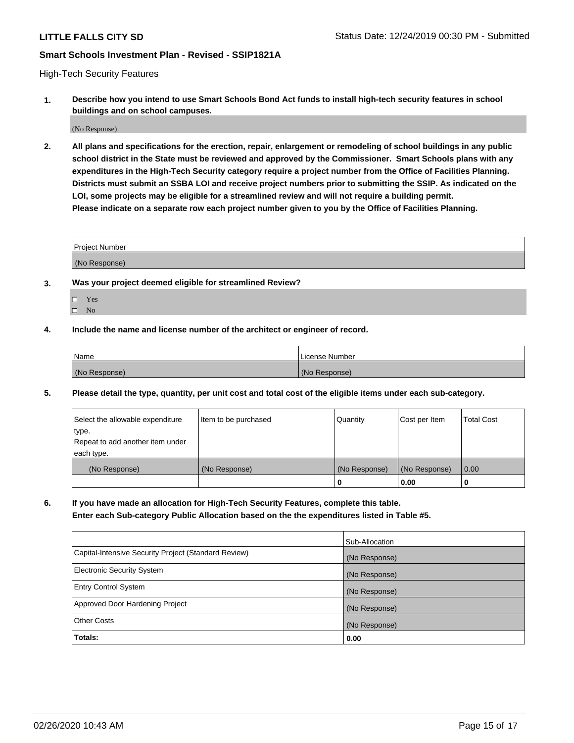High-Tech Security Features

**1. Describe how you intend to use Smart Schools Bond Act funds to install high-tech security features in school buildings and on school campuses.**

(No Response)

**2. All plans and specifications for the erection, repair, enlargement or remodeling of school buildings in any public school district in the State must be reviewed and approved by the Commissioner. Smart Schools plans with any expenditures in the High-Tech Security category require a project number from the Office of Facilities Planning. Districts must submit an SSBA LOI and receive project numbers prior to submitting the SSIP. As indicated on the LOI, some projects may be eligible for a streamlined review and will not require a building permit. Please indicate on a separate row each project number given to you by the Office of Facilities Planning.**

| <b>Project Number</b> |  |
|-----------------------|--|
| (No Response)         |  |

- **3. Was your project deemed eligible for streamlined Review?**
	- Yes
	- $\hfill \square$  No
- **4. Include the name and license number of the architect or engineer of record.**

| <b>Name</b>   | License Number |
|---------------|----------------|
| (No Response) | (No Response)  |

**5. Please detail the type, quantity, per unit cost and total cost of the eligible items under each sub-category.**

| Select the allowable expenditure | Item to be purchased | Quantity      | Cost per Item | Total Cost |
|----------------------------------|----------------------|---------------|---------------|------------|
| 'type.                           |                      |               |               |            |
| Repeat to add another item under |                      |               |               |            |
| each type.                       |                      |               |               |            |
| (No Response)                    | (No Response)        | (No Response) | (No Response) | 0.00       |
|                                  |                      | u             | 0.00          |            |

**6. If you have made an allocation for High-Tech Security Features, complete this table.**

**Enter each Sub-category Public Allocation based on the the expenditures listed in Table #5.**

|                                                      | Sub-Allocation |
|------------------------------------------------------|----------------|
| Capital-Intensive Security Project (Standard Review) | (No Response)  |
| <b>Electronic Security System</b>                    | (No Response)  |
| <b>Entry Control System</b>                          | (No Response)  |
| Approved Door Hardening Project                      | (No Response)  |
| <b>Other Costs</b>                                   | (No Response)  |
| Totals:                                              | 0.00           |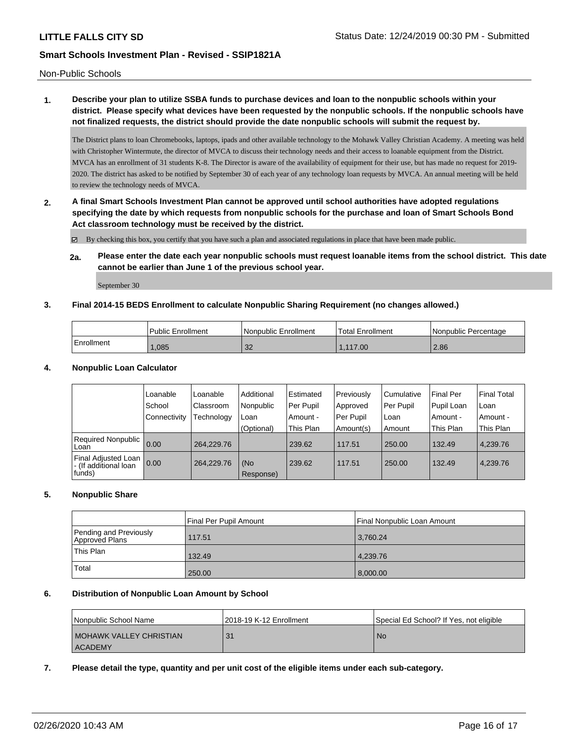Non-Public Schools

# **1. Describe your plan to utilize SSBA funds to purchase devices and loan to the nonpublic schools within your district. Please specify what devices have been requested by the nonpublic schools. If the nonpublic schools have not finalized requests, the district should provide the date nonpublic schools will submit the request by.**

The District plans to loan Chromebooks, laptops, ipads and other available technology to the Mohawk Valley Christian Academy. A meeting was held with Christopher Wintermute, the director of MVCA to discuss their technology needs and their access to loanable equipment from the District. MVCA has an enrollment of 31 students K-8. The Director is aware of the availability of equipment for their use, but has made no request for 2019- 2020. The district has asked to be notified by September 30 of each year of any technology loan requests by MVCA. An annual meeting will be held to review the technology needs of MVCA.

**2. A final Smart Schools Investment Plan cannot be approved until school authorities have adopted regulations specifying the date by which requests from nonpublic schools for the purchase and loan of Smart Schools Bond Act classroom technology must be received by the district.**

By checking this box, you certify that you have such a plan and associated regulations in place that have been made public.

**2a. Please enter the date each year nonpublic schools must request loanable items from the school district. This date cannot be earlier than June 1 of the previous school year.**

September 30

### **3. Final 2014-15 BEDS Enrollment to calculate Nonpublic Sharing Requirement (no changes allowed.)**

|                         | Public Enrollment | <b>Nonpublic Enrollment</b> | Total Enrollment | Nonpublic Percentage |
|-------------------------|-------------------|-----------------------------|------------------|----------------------|
| <sup>'</sup> Enrollment | .085              | $-2$<br>ےں                  | .117.00          | 2.86                 |

#### **4. Nonpublic Loan Calculator**

|                                                          | Loanable       | Loanable   | Additional       | l Estimated | Previously | l Cumulative | Final Per  | Final Total |
|----------------------------------------------------------|----------------|------------|------------------|-------------|------------|--------------|------------|-------------|
|                                                          | School         | Classroom  | Nonpublic        | Per Pupil   | Approved   | Per Pupil    | Pupil Loan | Loan        |
|                                                          | l Connectivity | Technology | Loan             | Amount -    | Per Pupil  | l Loan       | Amount -   | Amount -    |
|                                                          |                |            | (Optional)       | This Plan   | Amount(s)  | Amount       | This Plan  | This Plan   |
| Required Nonpublic 0.00<br>Loan                          |                | 264.229.76 |                  | 239.62      | 117.51     | 250.00       | 132.49     | 4,239.76    |
| Final Adjusted Loan  <br>- (If additional loan<br>funds) | 0.00           | 264.229.76 | (No<br>Response) | 239.62      | 117.51     | 250.00       | 132.49     | 4.239.76    |

### **5. Nonpublic Share**

|                                          | Final Per Pupil Amount | l Final Nonpublic Loan Amount |
|------------------------------------------|------------------------|-------------------------------|
| Pending and Previously<br>Approved Plans | 117.51                 | 3,760.24                      |
| <sup>1</sup> This Plan                   | 132.49                 | 4.239.76                      |
| Total                                    | 250.00                 | 8,000.00                      |

#### **6. Distribution of Nonpublic Loan Amount by School**

| l Nonpublic School Name   | 2018-19 K-12 Enrollment | Special Ed School? If Yes, not eligible |
|---------------------------|-------------------------|-----------------------------------------|
| I MOHAWK VALLEY CHRISTIAN | 31                      | -No                                     |
| ACADEMY                   |                         |                                         |

**7. Please detail the type, quantity and per unit cost of the eligible items under each sub-category.**